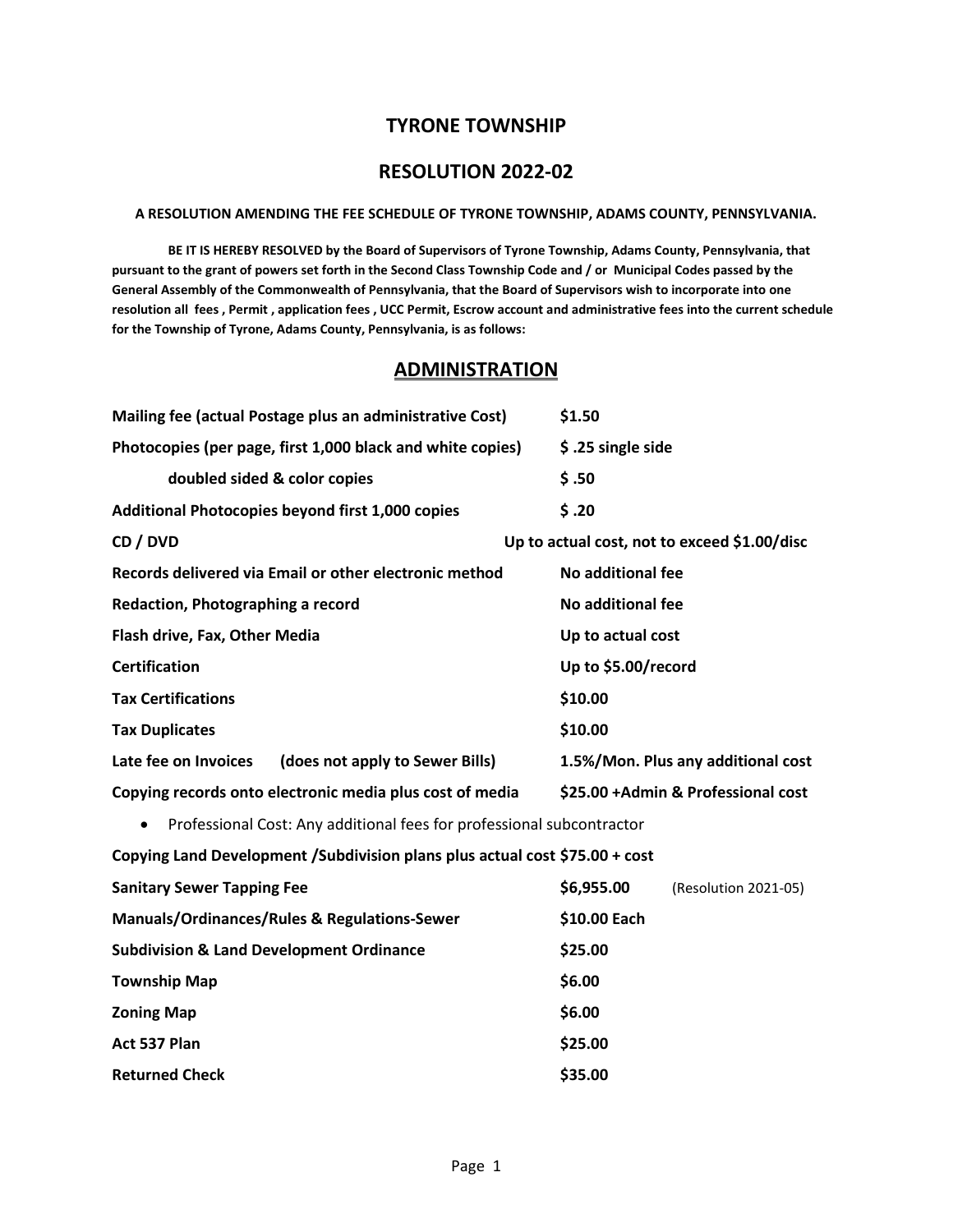# **TYRONE TOWNSHIP**

# **RESOLUTION 2022-02**

#### **A RESOLUTION AMENDING THE FEE SCHEDULE OF TYRONE TOWNSHIP, ADAMS COUNTY, PENNSYLVANIA.**

**BE IT IS HEREBY RESOLVED by the Board of Supervisors of Tyrone Township, Adams County, Pennsylvania, that pursuant to the grant of powers set forth in the Second Class Township Code and / or Municipal Codes passed by the General Assembly of the Commonwealth of Pennsylvania, that the Board of Supervisors wish to incorporate into one resolution all fees , Permit , application fees , UCC Permit, Escrow account and administrative fees into the current schedule for the Township of Tyrone, Adams County, Pennsylvania, is as follows:**

# **ADMINISTRATION**

| Mailing fee (actual Postage plus an administrative Cost)                           | \$1.50                                       |
|------------------------------------------------------------------------------------|----------------------------------------------|
| Photocopies (per page, first 1,000 black and white copies)                         | \$ .25 single side                           |
| doubled sided & color copies                                                       | \$.50                                        |
| Additional Photocopies beyond first 1,000 copies                                   | \$.20                                        |
| CD / DVD                                                                           | Up to actual cost, not to exceed \$1.00/disc |
| Records delivered via Email or other electronic method                             | <b>No additional fee</b>                     |
| Redaction, Photographing a record                                                  | <b>No additional fee</b>                     |
| Flash drive, Fax, Other Media                                                      | Up to actual cost                            |
| <b>Certification</b>                                                               | Up to \$5.00/record                          |
| <b>Tax Certifications</b>                                                          | \$10.00                                      |
| <b>Tax Duplicates</b>                                                              | \$10.00                                      |
|                                                                                    |                                              |
| Late fee on Invoices<br>(does not apply to Sewer Bills)                            | 1.5%/Mon. Plus any additional cost           |
| Copying records onto electronic media plus cost of media                           | \$25.00 + Admin & Professional cost          |
| Professional Cost: Any additional fees for professional subcontractor<br>$\bullet$ |                                              |
| Copying Land Development / Subdivision plans plus actual cost \$75.00 + cost       |                                              |
| <b>Sanitary Sewer Tapping Fee</b>                                                  | \$6,955.00<br>(Resolution 2021-05)           |
| Manuals/Ordinances/Rules & Regulations-Sewer                                       | \$10.00 Each                                 |
| <b>Subdivision &amp; Land Development Ordinance</b>                                | \$25.00                                      |
| <b>Township Map</b>                                                                | \$6.00                                       |
| <b>Zoning Map</b>                                                                  | \$6.00                                       |
| Act 537 Plan                                                                       | \$25.00                                      |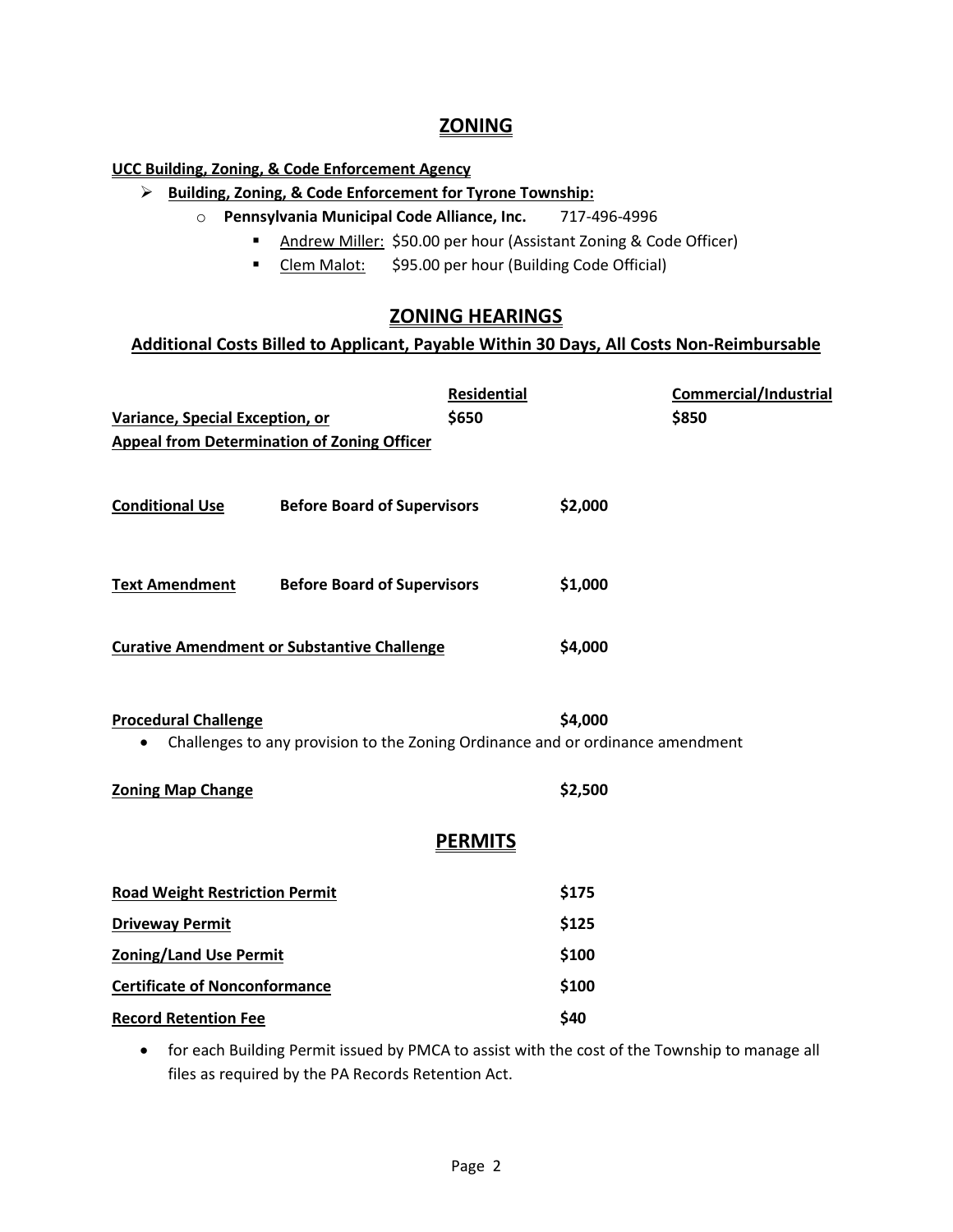# **ZONING**

## **UCC Building, Zoning, & Code Enforcement Agency**

- **Building, Zoning, & Code Enforcement for Tyrone Township:**
	- o **Pennsylvania Municipal Code Alliance, Inc.** 717-496-4996
		- Andrew Miller: \$50.00 per hour (Assistant Zoning & Code Officer)
		- Clem Malot: \$95.00 per hour (Building Code Official)

# **ZONING HEARINGS**

# **Additional Costs Billed to Applicant, Payable Within 30 Days, All Costs Non-Reimbursable**

|                                                                                                                            | <b>Residential</b> | <b>Commercial/Industrial</b> |  |  |
|----------------------------------------------------------------------------------------------------------------------------|--------------------|------------------------------|--|--|
| Variance, Special Exception, or                                                                                            | \$650              | \$850                        |  |  |
| <b>Appeal from Determination of Zoning Officer</b>                                                                         |                    |                              |  |  |
| <b>Conditional Use</b><br><b>Before Board of Supervisors</b>                                                               |                    | \$2,000                      |  |  |
| <b>Text Amendment</b><br><b>Before Board of Supervisors</b>                                                                |                    | \$1,000                      |  |  |
| <b>Curative Amendment or Substantive Challenge</b>                                                                         |                    | \$4,000                      |  |  |
| <b>Procedural Challenge</b><br>Challenges to any provision to the Zoning Ordinance and or ordinance amendment<br>$\bullet$ |                    | \$4,000                      |  |  |
| <b>Zoning Map Change</b>                                                                                                   |                    | \$2,500                      |  |  |
| <b>PERMITS</b>                                                                                                             |                    |                              |  |  |
| <b>Road Weight Restriction Permit</b>                                                                                      |                    | \$175                        |  |  |
| <b>Driveway Permit</b>                                                                                                     |                    | \$125                        |  |  |
| <b>Zoning/Land Use Permit</b>                                                                                              |                    | \$100                        |  |  |
| <b>Certificate of Nonconformance</b>                                                                                       |                    | \$100                        |  |  |
| <b>Record Retention Fee</b>                                                                                                |                    | \$40                         |  |  |

• for each Building Permit issued by PMCA to assist with the cost of the Township to manage all files as required by the PA Records Retention Act.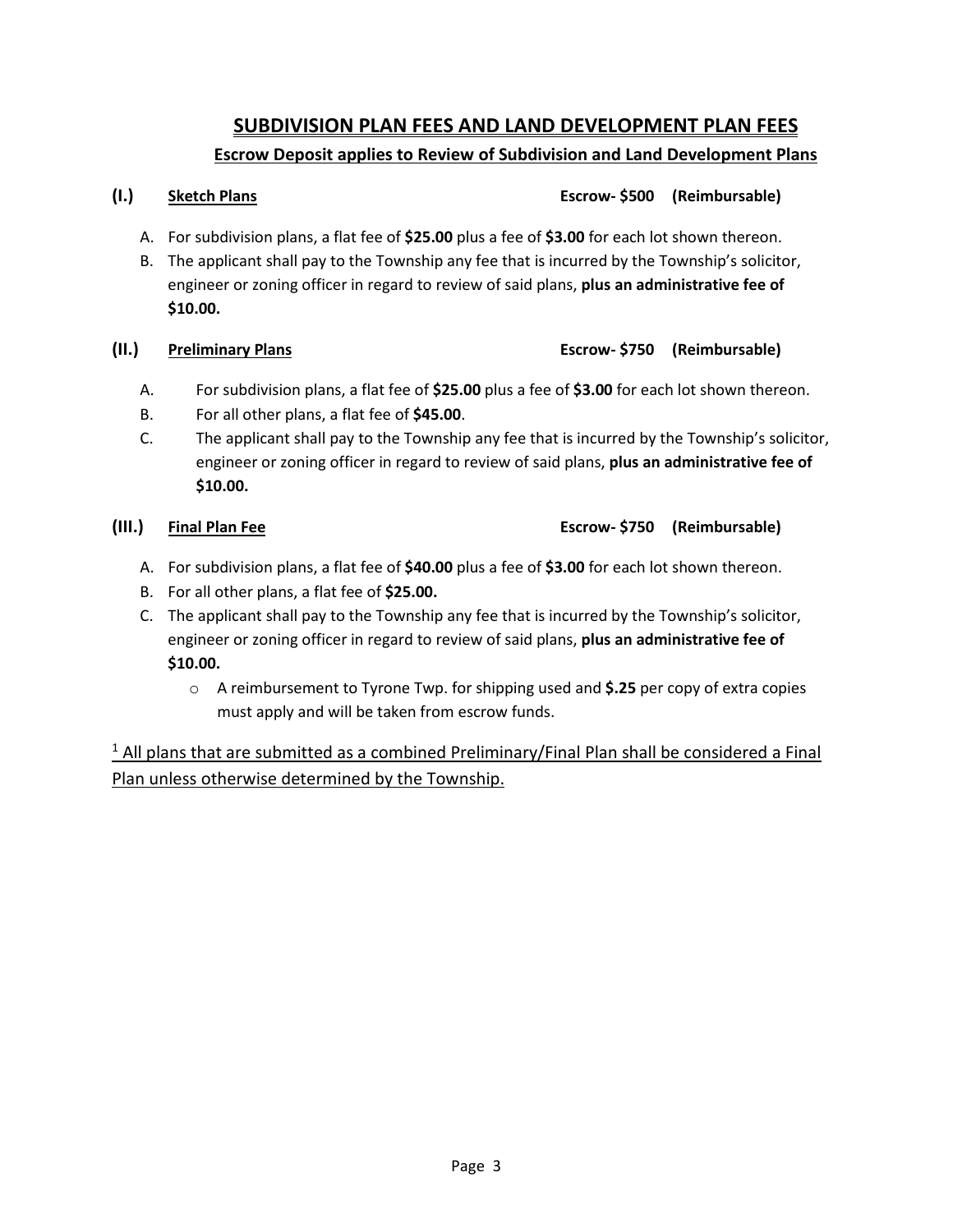# **SUBDIVISION PLAN FEES AND LAND DEVELOPMENT PLAN FEES Escrow Deposit applies to Review of Subdivision and Land Development Plans**

# A. For subdivision plans, a flat fee of **\$25.00** plus a fee of **\$3.00** for each lot shown thereon.

B. The applicant shall pay to the Township any fee that is incurred by the Township's solicitor, engineer or zoning officer in regard to review of said plans, **plus an administrative fee of \$10.00.**

## **(II.) Preliminary Plans Escrow- \$750 (Reimbursable)**

- A. For subdivision plans, a flat fee of **\$25.00** plus a fee of **\$3.00** for each lot shown thereon.
- B. For all other plans, a flat fee of **\$45.00**.
- C. The applicant shall pay to the Township any fee that is incurred by the Township's solicitor, engineer or zoning officer in regard to review of said plans, **plus an administrative fee of \$10.00.**

## **(III.) Final Plan Fee Escrow- \$750 (Reimbursable)**

- A. For subdivision plans, a flat fee of **\$40.00** plus a fee of **\$3.00** for each lot shown thereon.
- B. For all other plans, a flat fee of **\$25.00.**
- C. The applicant shall pay to the Township any fee that is incurred by the Township's solicitor, engineer or zoning officer in regard to review of said plans, **plus an administrative fee of \$10.00.**
	- o A reimbursement to Tyrone Twp. for shipping used and **\$.25** per copy of extra copies must apply and will be taken from escrow funds.

 $1$  All plans that are submitted as a combined Preliminary/Final Plan shall be considered a Final Plan unless otherwise determined by the Township.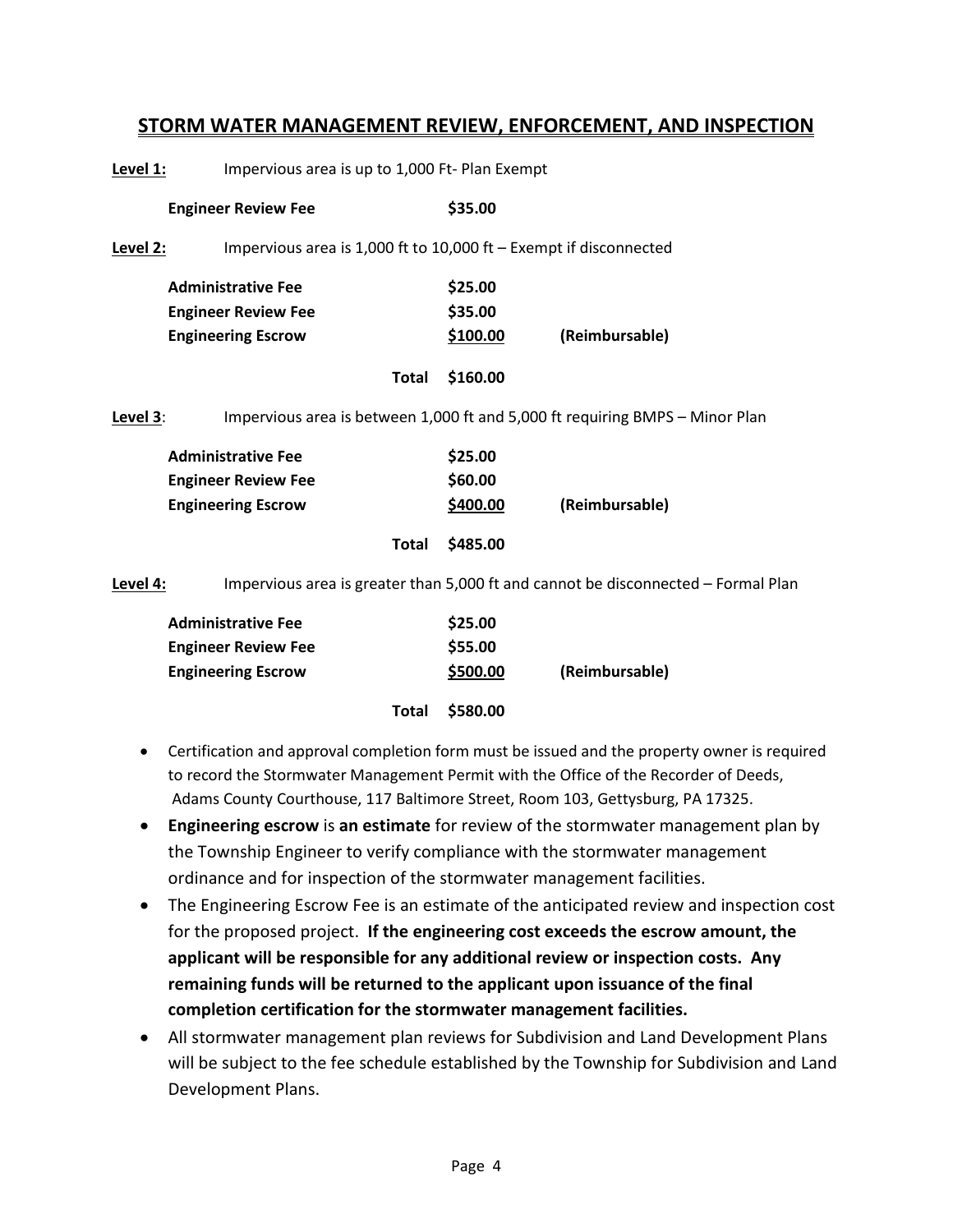# **STORM WATER MANAGEMENT REVIEW, ENFORCEMENT, AND INSPECTION**

**Level 1:** Impervious area is up to 1,000 Ft- Plan Exempt **Engineer Review Fee \$35.00** Level 2: Impervious area is 1,000 ft to 10,000 ft – Exempt if disconnected **Administrative Fee \$25.00 Engineer Review Fee \$35.00 Engineering Escrow \$100.00 (Reimbursable) Total \$160.00 Level 3**: Impervious area is between 1,000 ft and 5,000 ft requiring BMPS – Minor Plan **Administrative Fee \$25.00 Engineer Review Fee \$60.00 Engineering Escrow \$400.00 (Reimbursable) Total \$485.00 Level 4:** Impervious area is greater than 5,000 ft and cannot be disconnected – Formal Plan **Administrative Fee \$25.00 Engineer Review Fee \$55.00 Engineering Escrow \$500.00 (Reimbursable)**

• Certification and approval completion form must be issued and the property owner is required to record the Stormwater Management Permit with the Office of the Recorder of Deeds, Adams County Courthouse, 117 Baltimore Street, Room 103, Gettysburg, PA 17325.

**Total \$580.00**

- **Engineering escrow** is **an estimate** for review of the stormwater management plan by the Township Engineer to verify compliance with the stormwater management ordinance and for inspection of the stormwater management facilities.
- The Engineering Escrow Fee is an estimate of the anticipated review and inspection cost for the proposed project. **If the engineering cost exceeds the escrow amount, the applicant will be responsible for any additional review or inspection costs. Any remaining funds will be returned to the applicant upon issuance of the final completion certification for the stormwater management facilities.**
- All stormwater management plan reviews for Subdivision and Land Development Plans will be subject to the fee schedule established by the Township for Subdivision and Land Development Plans.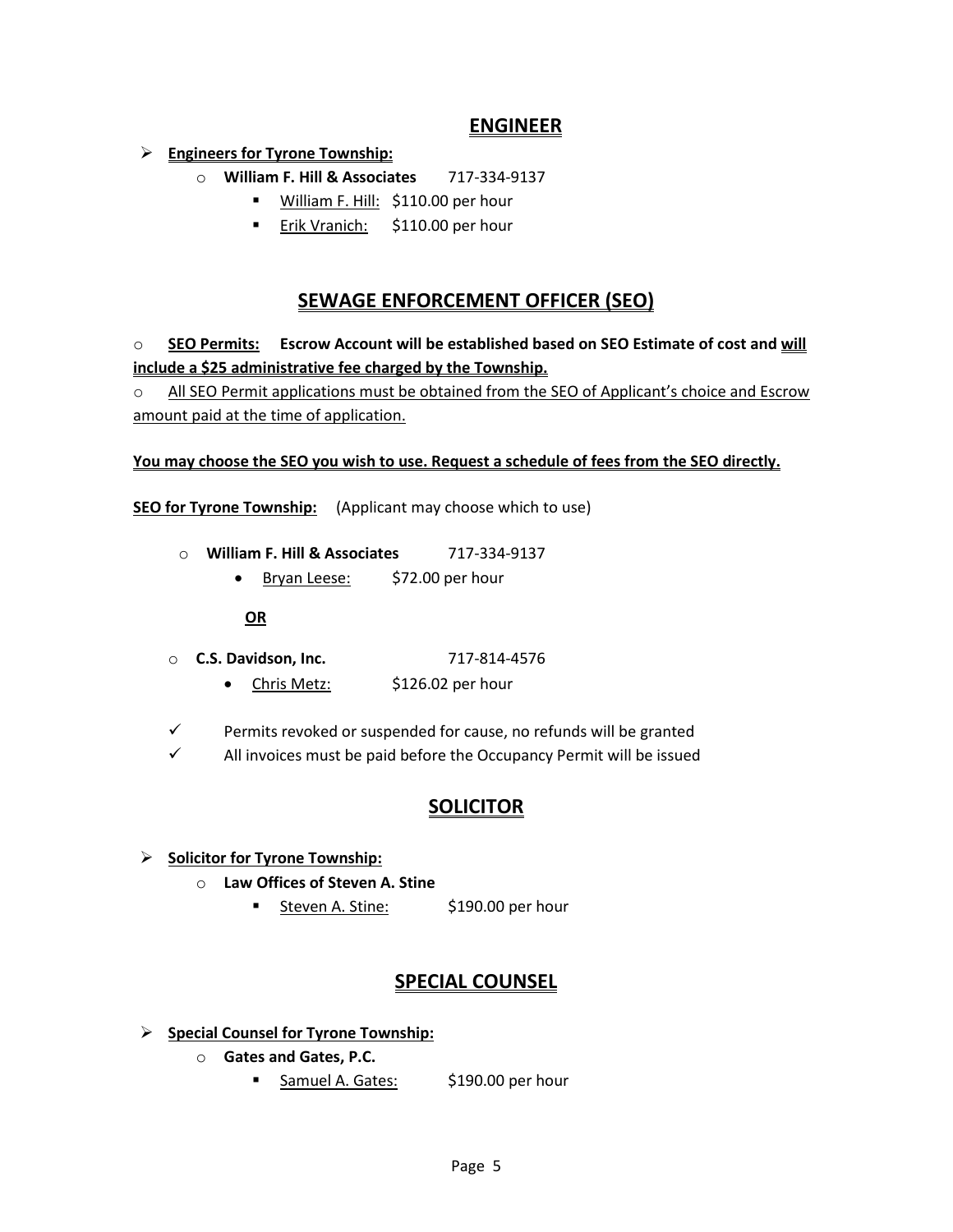# **ENGINEER**

# **Engineers for Tyrone Township:**

- o **William F. Hill & Associates** 717-334-9137
	- **William F. Hill: \$110.00 per hour**
	- **Erik Vranich:** \$110.00 per hour

# **SEWAGE ENFORCEMENT OFFICER (SEO)**

o **SEO Permits: Escrow Account will be established based on SEO Estimate of cost and will include a \$25 administrative fee charged by the Township.** 

 $\circ$  All SEO Permit applications must be obtained from the SEO of Applicant's choice and Escrow amount paid at the time of application.

## **You may choose the SEO you wish to use. Request a schedule of fees from the SEO directly.**

**SEO for Tyrone Township:** (Applicant may choose which to use)

- o **William F. Hill & Associates** 717-334-9137
	- Bryan Leese: \$72.00 per hour

## **OR**

- o **C.S. Davidson, Inc.** 717-814-4576
	- Chris Metz: \$126.02 per hour
- $\checkmark$  Permits revoked or suspended for cause, no refunds will be granted
- $\checkmark$  All invoices must be paid before the Occupancy Permit will be issued

# **SOLICITOR**

- **Solicitor for Tyrone Township:**
	- o **Law Offices of Steven A. Stine**
		- **Steven A. Stine:** \$190.00 per hour

# **SPECIAL COUNSEL**

- **Special Counsel for Tyrone Township:**
	- o **Gates and Gates, P.C.**
		- Samuel A. Gates: \$190.00 per hour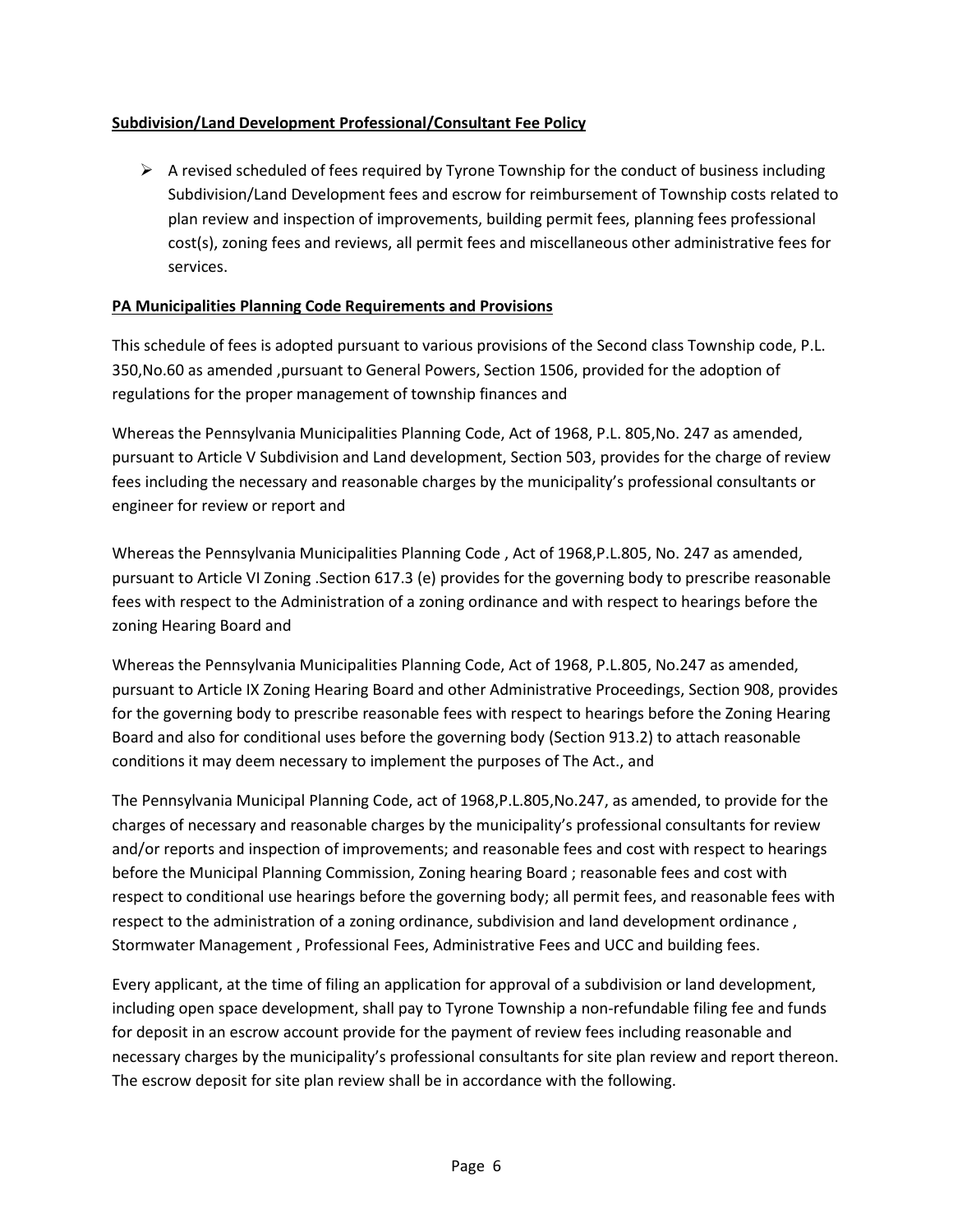# **Subdivision/Land Development Professional/Consultant Fee Policy**

 $\triangleright$  A revised scheduled of fees required by Tyrone Township for the conduct of business including Subdivision/Land Development fees and escrow for reimbursement of Township costs related to plan review and inspection of improvements, building permit fees, planning fees professional cost(s), zoning fees and reviews, all permit fees and miscellaneous other administrative fees for services.

## **PA Municipalities Planning Code Requirements and Provisions**

This schedule of fees is adopted pursuant to various provisions of the Second class Township code, P.L. 350,No.60 as amended ,pursuant to General Powers, Section 1506, provided for the adoption of regulations for the proper management of township finances and

Whereas the Pennsylvania Municipalities Planning Code, Act of 1968, P.L. 805,No. 247 as amended, pursuant to Article V Subdivision and Land development, Section 503, provides for the charge of review fees including the necessary and reasonable charges by the municipality's professional consultants or engineer for review or report and

Whereas the Pennsylvania Municipalities Planning Code , Act of 1968,P.L.805, No. 247 as amended, pursuant to Article VI Zoning .Section 617.3 (e) provides for the governing body to prescribe reasonable fees with respect to the Administration of a zoning ordinance and with respect to hearings before the zoning Hearing Board and

Whereas the Pennsylvania Municipalities Planning Code, Act of 1968, P.L.805, No.247 as amended, pursuant to Article IX Zoning Hearing Board and other Administrative Proceedings, Section 908, provides for the governing body to prescribe reasonable fees with respect to hearings before the Zoning Hearing Board and also for conditional uses before the governing body (Section 913.2) to attach reasonable conditions it may deem necessary to implement the purposes of The Act., and

The Pennsylvania Municipal Planning Code, act of 1968,P.L.805,No.247, as amended, to provide for the charges of necessary and reasonable charges by the municipality's professional consultants for review and/or reports and inspection of improvements; and reasonable fees and cost with respect to hearings before the Municipal Planning Commission, Zoning hearing Board ; reasonable fees and cost with respect to conditional use hearings before the governing body; all permit fees, and reasonable fees with respect to the administration of a zoning ordinance, subdivision and land development ordinance , Stormwater Management , Professional Fees, Administrative Fees and UCC and building fees.

Every applicant, at the time of filing an application for approval of a subdivision or land development, including open space development, shall pay to Tyrone Township a non-refundable filing fee and funds for deposit in an escrow account provide for the payment of review fees including reasonable and necessary charges by the municipality's professional consultants for site plan review and report thereon. The escrow deposit for site plan review shall be in accordance with the following.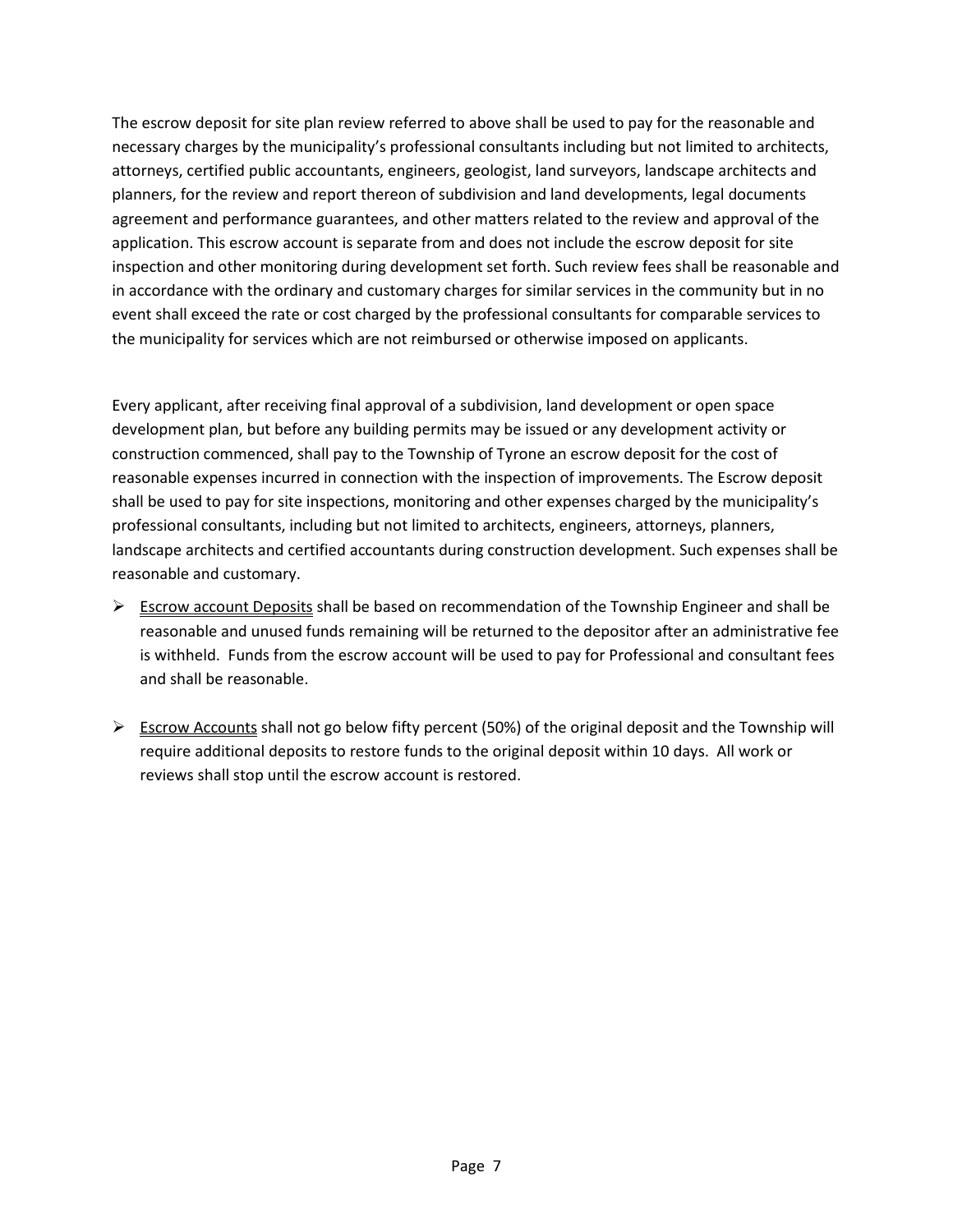The escrow deposit for site plan review referred to above shall be used to pay for the reasonable and necessary charges by the municipality's professional consultants including but not limited to architects, attorneys, certified public accountants, engineers, geologist, land surveyors, landscape architects and planners, for the review and report thereon of subdivision and land developments, legal documents agreement and performance guarantees, and other matters related to the review and approval of the application. This escrow account is separate from and does not include the escrow deposit for site inspection and other monitoring during development set forth. Such review fees shall be reasonable and in accordance with the ordinary and customary charges for similar services in the community but in no event shall exceed the rate or cost charged by the professional consultants for comparable services to the municipality for services which are not reimbursed or otherwise imposed on applicants.

Every applicant, after receiving final approval of a subdivision, land development or open space development plan, but before any building permits may be issued or any development activity or construction commenced, shall pay to the Township of Tyrone an escrow deposit for the cost of reasonable expenses incurred in connection with the inspection of improvements. The Escrow deposit shall be used to pay for site inspections, monitoring and other expenses charged by the municipality's professional consultants, including but not limited to architects, engineers, attorneys, planners, landscape architects and certified accountants during construction development. Such expenses shall be reasonable and customary.

- $\triangleright$  Escrow account Deposits shall be based on recommendation of the Township Engineer and shall be reasonable and unused funds remaining will be returned to the depositor after an administrative fee is withheld. Funds from the escrow account will be used to pay for Professional and consultant fees and shall be reasonable.
- $\triangleright$  Escrow Accounts shall not go below fifty percent (50%) of the original deposit and the Township will require additional deposits to restore funds to the original deposit within 10 days. All work or reviews shall stop until the escrow account is restored.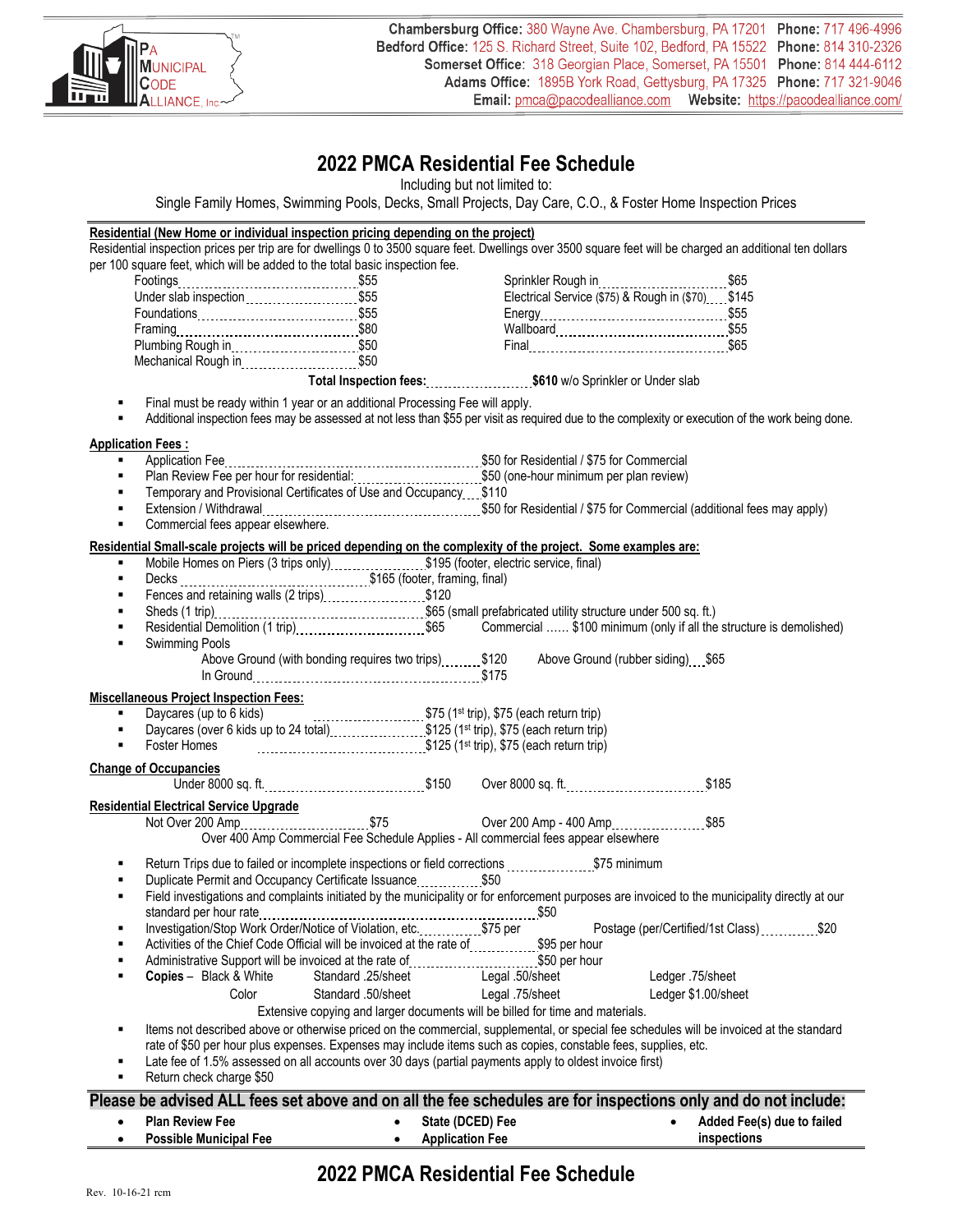

# **2022 PMCA Residential Fee Schedule**

Including but not limited to:

Single Family Homes, Swimming Pools, Decks, Small Projects, Day Care, C.O., & Foster Home Inspection Prices

#### **Residential (New Home or individual inspection pricing depending on the project)** Residential inspection prices per trip are for dwellings 0 to 3500 square feet. Dwellings over 3500 square feet will be charged an additional ten dollars per 100 square feet, which will be added to the total basic inspection fee. Footings \$55 Under slab inspection ..........................\$55 Foundations \$55 Framing \$80 Plumbing Rough in \$50 Mechanical Rough in \$50 Sprinkler Rough in \$65 Electrical Service (\$75) & Rough in (\$70) \$145 Energy \$55 Wallboard \$55 Final **\$65 Total Inspection fees: \$610** w/o Sprinkler or Under slab Final must be ready within 1 year or an additional Processing Fee will apply. Additional inspection fees may be assessed at not less than \$55 per visit as required due to the complexity or execution of the work being done. **Application Fees : Application Fee 20 convertions and Commercial Application Fee Store Residential / \$75 for Commercial** Plan Review Fee per hour for residential: ...............................\$50 (one-hour minimum per plan review) **Temporary and Provisional Certificates of Use and Occupancy \$110**  Extension / Withdrawal \$50 for Residential / \$75 for Commercial (additional fees may apply) Commercial fees appear elsewhere. **Residential Small-scale projects will be priced depending on the complexity of the project. Some examples are: Mobile Homes on Piers (3 trips only)** [1]  $\frac{1}{2}$  (footer, electric service, final) Decks \$165 (footer, framing, final) Fences and retaining walls  $(2 \text{ trips})$ .....................\$120 Sheds (1 trip) entitled the contract of the contract of the structure under 500 sq. ft.)<br>
Subsequential Demolition (1 trip) 65 Commercial ...... \$100 minimum (only if all the ■ Residential Demolition (1 trip) \$65 Commercial …… \$100 minimum (only if all the structure is demolished) Swimming Pools Above Ground (with bonding requires two trips) 120 Above Ground (rubber siding) \$65 In Ground \$175 **Miscellaneous Project Inspection Fees:** Daycares (up to 6 kids) \$75 (1st trip), \$75 (each return trip) Daycares (over 6 kids up to 24 total) **[19]** \$125 (1st trip), \$75 (each return trip) Foster Homes \$125 (1st trip), \$75 (each return trip) **Change of Occupancies**  Under 8000 sq. ft. \$150 Over 8000 sq. ft. \$185 **Residential Electrical Service Upgrade** Not Over 200 Amp \_\_\_\_\_\_\_\_\_\_\_\_\_\_\_\_\_\_\_\_\_\_\_\$75 Over 200 Amp - 400 Amp \_\_\_\_\_\_\_\_\_\_\_\_\_\_\_\_\_\_\$85 Over 400 Amp Commercial Fee Schedule Applies - All commercial fees appear elsewhere Return Trips due to failed or incomplete inspections or field corrections ...................\$75 minimum Duplicate Permit and Occupancy Certificate Issuance **1996** S50 Field investigations and complaints initiated by the municipality or for enforcement purposes are invoiced to the municipality directly at our standard per hour rate \$50 Investigation/Stop Work Order/Notice of Violation, etc. ................ \$75 per Postage (per/Certified/1st Class) ............... \$20 Activities of the Chief Code Official will be invoiced at the rate of ...............\$95 per hour Administrative Support will be invoiced at the rate of [[[[[[[[[[[[[[[[[]]]]]]][[[[[]]] Administrative Support **Copies** – Black & White Standard .25/sheet Legal .50/sheet Ledger .75/sheet Color Standard .50/sheet Legal .75/sheet Ledger \$1.00/sheet Extensive copying and larger documents will be billed for time and materials. Items not described above or otherwise priced on the commercial, supplemental, or special fee schedules will be invoiced at the standard rate of \$50 per hour plus expenses. Expenses may include items such as copies, constable fees, supplies, etc. Late fee of 1.5% assessed on all accounts over 30 days (partial payments apply to oldest invoice first) Return check charge \$50 **Please be advised ALL fees set above and on all the fee schedules are for inspections only and do not include:** • **Plan Review Fee** • **Possible Municipal Fee** • **State (DCED) Fee** • **Application Fee** • **Added Fee(s) due to failed inspections**

# **2022 PMCA Residential Fee Schedule**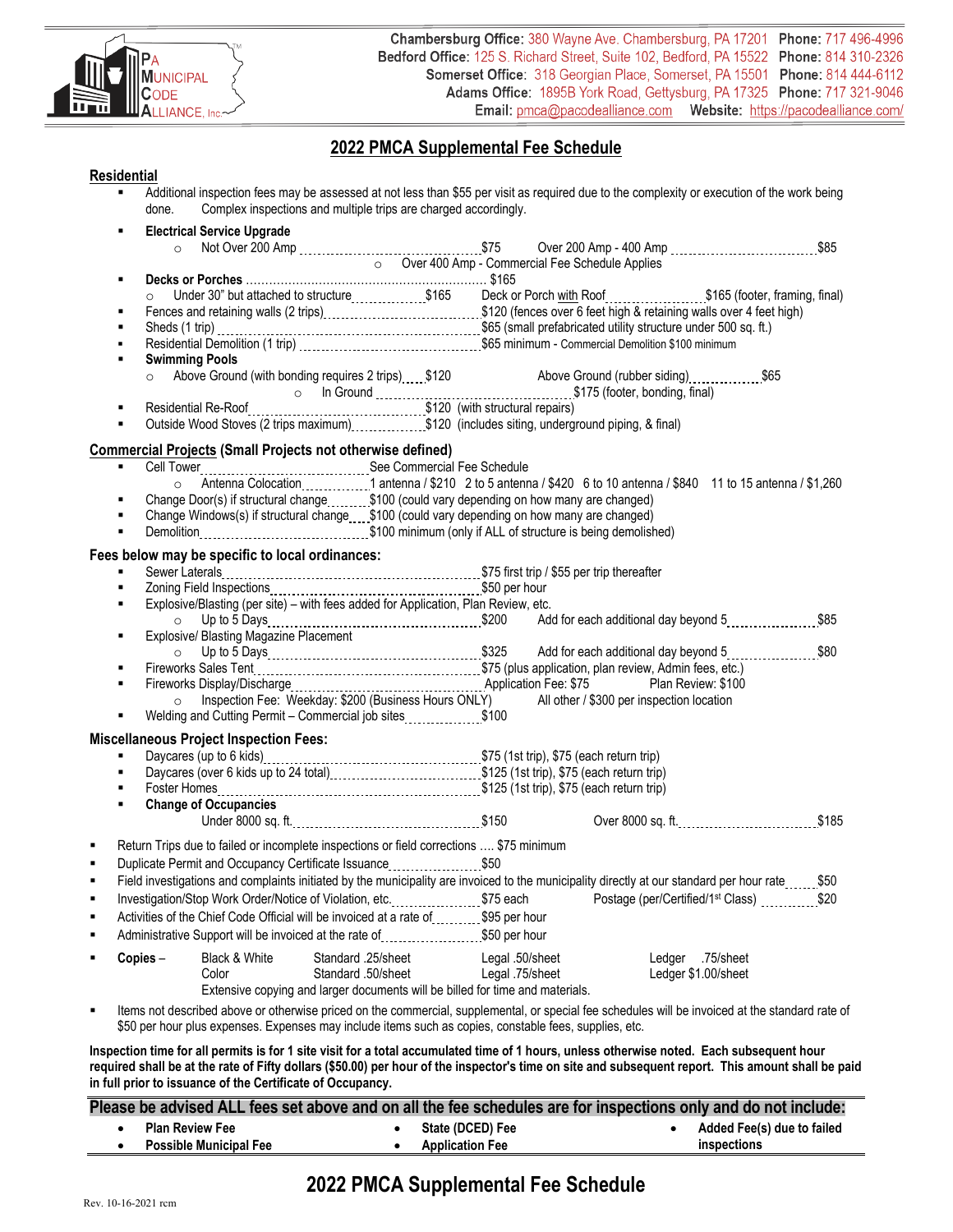

# **2022 PMCA Supplemental Fee Schedule**

#### **Residential**

| done.   | Complex inspections and multiple trips are charged accordingly.                                                                                                                                                               |                                                  |                 |                                           |                                                               |
|---------|-------------------------------------------------------------------------------------------------------------------------------------------------------------------------------------------------------------------------------|--------------------------------------------------|-----------------|-------------------------------------------|---------------------------------------------------------------|
|         | <b>Electrical Service Upgrade</b>                                                                                                                                                                                             |                                                  |                 |                                           |                                                               |
| $\circ$ |                                                                                                                                                                                                                               | □ Over 400 Amp - Commercial Fee Schedule Applies |                 |                                           |                                                               |
|         |                                                                                                                                                                                                                               |                                                  |                 |                                           |                                                               |
|         | Under 30" but attached to structure _________________\$165 Deck or Porch with Roof _____________________\$165 (footer, framing, final)                                                                                        |                                                  |                 |                                           |                                                               |
|         |                                                                                                                                                                                                                               |                                                  |                 |                                           |                                                               |
|         |                                                                                                                                                                                                                               |                                                  |                 |                                           |                                                               |
|         | Residential Demolition (1 trip) [11] Residential Demolition (1 trip) 1.1 Section 1.1 Section 1.1 Section 1.100 minimum                                                                                                        |                                                  |                 |                                           |                                                               |
|         | <b>Swimming Pools</b>                                                                                                                                                                                                         |                                                  |                 |                                           |                                                               |
| $\circ$ | Above Ground (with bonding requires 2 trips) 120 Above Ground (rubber siding)                                                                                                                                                 |                                                  |                 |                                           |                                                               |
|         | Communication of the Ground Communication (175 (footer, bonding, final)<br>Residential Re-Roof example 20 (with structural repairs)                                                                                           |                                                  |                 |                                           |                                                               |
|         |                                                                                                                                                                                                                               |                                                  |                 |                                           |                                                               |
|         | Outside Wood Stoves (2 trips maximum) \$120 (includes siting, underground piping, & final)                                                                                                                                    |                                                  |                 |                                           |                                                               |
|         | <b>Commercial Projects (Small Projects not otherwise defined)</b>                                                                                                                                                             |                                                  |                 |                                           |                                                               |
|         |                                                                                                                                                                                                                               |                                                  |                 |                                           |                                                               |
|         |                                                                                                                                                                                                                               |                                                  |                 |                                           |                                                               |
|         | Change Door(s) if structural change \$100 (could vary depending on how many are changed)                                                                                                                                      |                                                  |                 |                                           |                                                               |
|         | Change Windows(s) if structural change 5100 (could vary depending on how many are changed)                                                                                                                                    |                                                  |                 |                                           |                                                               |
| ٠       |                                                                                                                                                                                                                               |                                                  |                 |                                           |                                                               |
|         | Fees below may be specific to local ordinances:                                                                                                                                                                               |                                                  |                 |                                           |                                                               |
|         |                                                                                                                                                                                                                               |                                                  |                 |                                           |                                                               |
| ٠       |                                                                                                                                                                                                                               |                                                  |                 |                                           |                                                               |
|         | Explosive/Blasting (per site) - with fees added for Application, Plan Review, etc.                                                                                                                                            |                                                  |                 |                                           |                                                               |
| $\circ$ |                                                                                                                                                                                                                               |                                                  |                 |                                           |                                                               |
| ٠       | Explosive/ Blasting Magazine Placement                                                                                                                                                                                        |                                                  |                 |                                           |                                                               |
|         |                                                                                                                                                                                                                               |                                                  |                 |                                           |                                                               |
|         | Fireworks Sales Tent [11, 1200] [125] Fireworks Sales Tent (2015) [125] Fireworks Sales Tent [1261] Fireworks Sales Tent [1261] Fireworks Sales Tent [127] Fireworks Sales Preciption Stefan [127] Fireworks Sales Preciption |                                                  |                 |                                           |                                                               |
|         | Inspection Fee: Weekday: \$200 (Business Hours ONLY)                                                                                                                                                                          |                                                  |                 |                                           |                                                               |
|         | Welding and Cutting Permit - Commercial job sites\$100                                                                                                                                                                        |                                                  |                 | All other / \$300 per inspection location |                                                               |
|         |                                                                                                                                                                                                                               |                                                  |                 |                                           |                                                               |
|         | <b>Miscellaneous Project Inspection Fees:</b>                                                                                                                                                                                 |                                                  |                 |                                           |                                                               |
|         |                                                                                                                                                                                                                               |                                                  |                 |                                           |                                                               |
|         |                                                                                                                                                                                                                               |                                                  |                 |                                           |                                                               |
|         |                                                                                                                                                                                                                               |                                                  |                 |                                           |                                                               |
|         | <b>Change of Occupancies</b>                                                                                                                                                                                                  |                                                  |                 |                                           | Over 8000 sq. ft. \$185                                       |
|         |                                                                                                                                                                                                                               |                                                  |                 |                                           |                                                               |
|         | Return Trips due to failed or incomplete inspections or field corrections  \$75 minimum                                                                                                                                       |                                                  |                 |                                           |                                                               |
|         | Duplicate Permit and Occupancy Certificate Issuance [11, 11, 150]                                                                                                                                                             |                                                  |                 |                                           |                                                               |
|         | Field investigations and complaints initiated by the municipality are invoiced to the municipality directly at our standard per hour rate                                                                                     |                                                  |                 |                                           | \$50                                                          |
|         | Investigation/Stop Work Order/Notice of Violation, etc. \$75 each                                                                                                                                                             |                                                  |                 |                                           | Postage (per/Certified/1 <sup>st</sup> Class) ___________\$20 |
|         | Activities of the Chief Code Official will be invoiced at a rate of ________ \$95 per hour                                                                                                                                    |                                                  |                 |                                           |                                                               |
|         | Administrative Support will be invoiced at the rate of <b>construct the S50</b> per hour                                                                                                                                      |                                                  |                 |                                           |                                                               |
| Copies- | Black & White                                                                                                                                                                                                                 | Standard .25/sheet                               | Legal .50/sheet | Ledger .75/sheet                          |                                                               |
|         | Color                                                                                                                                                                                                                         | Standard .50/sheet                               | Legal .75/sheet | Ledger \$1.00/sheet                       |                                                               |
|         | Extensive copying and larger documents will be billed for time and materials.                                                                                                                                                 |                                                  |                 |                                           |                                                               |
|         | Items not described above or otherwise priced on the commercial, supplemental, or special fee schedules will be invoiced at the standard rate of                                                                              |                                                  |                 |                                           |                                                               |
|         | \$50 per hour plus expenses. Expenses may include items such as copies, constable fees, supplies, etc.                                                                                                                        |                                                  |                 |                                           |                                                               |

**Inspection time for all permits is for 1 site visit for a total accumulated time of 1 hours, unless otherwise noted. Each subsequent hour required shall be at the rate of Fifty dollars (\$50.00) per hour of the inspector's time on site and subsequent report. This amount shall be paid in full prior to issuance of the Certificate of Occupancy.** 

|                               | Please be advised ALL fees set above and on all the fee schedules are for inspections only and do not include: |                            |
|-------------------------------|----------------------------------------------------------------------------------------------------------------|----------------------------|
| <b>Plan Review Fee</b>        | <b>State (DCED) Fee</b>                                                                                        | Added Fee(s) due to failed |
| <b>Possible Municipal Fee</b> | <b>Application Fee</b>                                                                                         | inspections                |

# **2022 PMCA Supplemental Fee Schedule**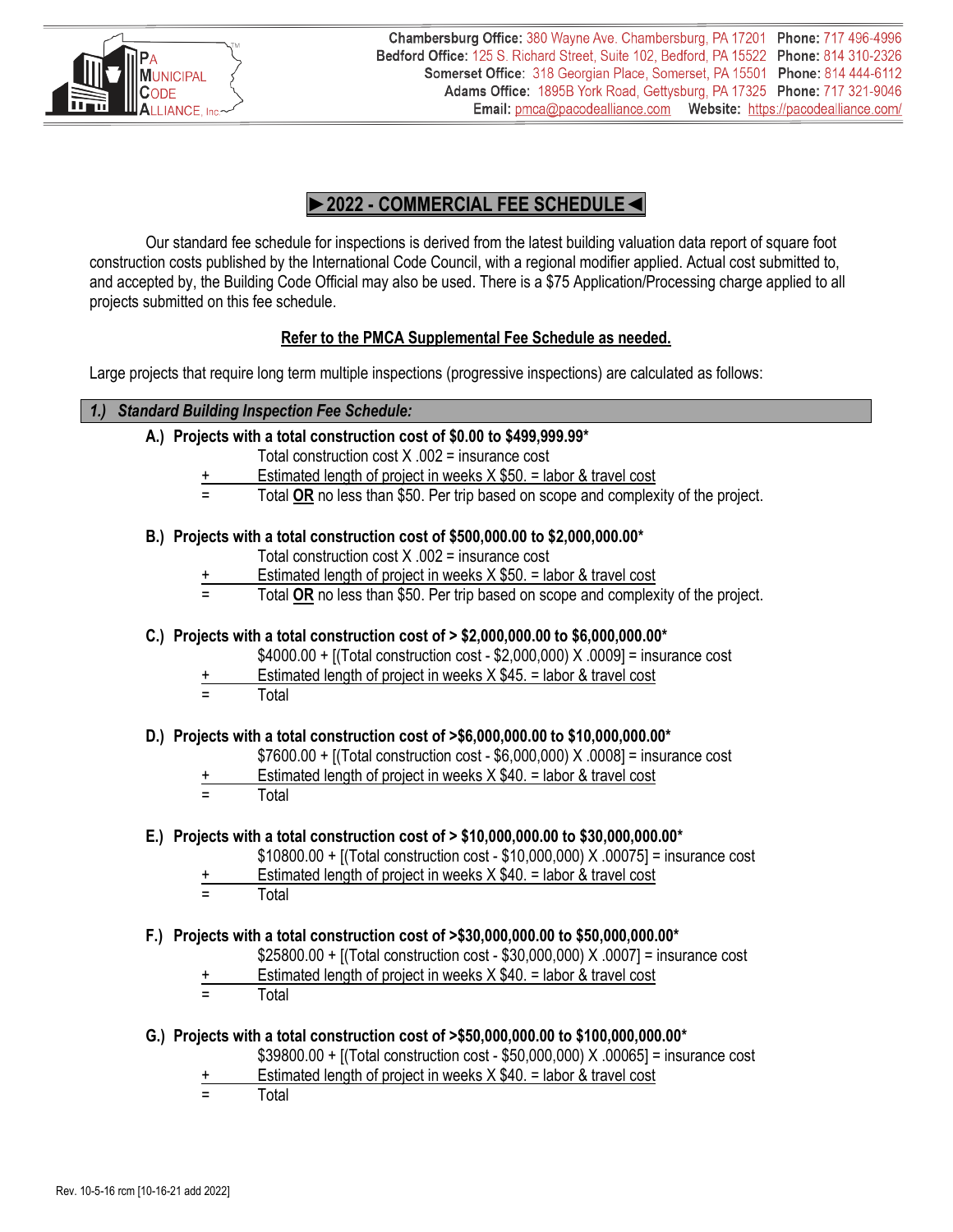

# **►2022 - COMMERCIAL FEE SCHEDULE◄**

Our standard fee schedule for inspections is derived from the latest building valuation data report of square foot construction costs published by the International Code Council, with a regional modifier applied. Actual cost submitted to, and accepted by, the Building Code Official may also be used. There is a \$75 Application/Processing charge applied to all projects submitted on this fee schedule.

# **Refer to the PMCA Supplemental Fee Schedule as needed.**

Large projects that require long term multiple inspections (progressive inspections) are calculated as follows:

## *1.) Standard Building Inspection Fee Schedule:*

- **A.) Projects with a total construction cost of \$0.00 to \$499,999.99\***
	- Total construction cost X .002 = insurance cost
	- Estimated length of project in weeks  $X$  \$50. = labor & travel cost
	- = Total **OR** no less than \$50. Per trip based on scope and complexity of the project.

## **B.) Projects with a total construction cost of \$500,000.00 to \$2,000,000.00\***

- Total construction cost  $X$  .002 = insurance cost
- Estimated length of project in weeks  $X $50. =$  labor & travel cost
- Total OR no less than \$50. Per trip based on scope and complexity of the project.

## **C.) Projects with a total construction cost of > \$2,000,000.00 to \$6,000,000.00\***

- \$4000.00 + [(Total construction cost \$2,000,000) X .0009] = insurance cost
- Estimated length of project in weeks  $X$  \$45. = labor & travel cost
- = Total

#### **D.) Projects with a total construction cost of >\$6,000,000.00 to \$10,000,000.00\***

- \$7600.00 + [(Total construction cost \$6,000,000) X .0008] = insurance cost
- + Estimated length of project in weeks X \$40. = labor & travel cost<br>= Total
- **Total**

## **E.) Projects with a total construction cost of > \$10,000,000.00 to \$30,000,000.00\***

- \$10800.00 + [(Total construction cost \$10,000,000) X .00075] = insurance cost
- Estimated length of project in weeks  $X $40. =$  labor & travel cost
- **Total**

## **F.) Projects with a total construction cost of >\$30,000,000.00 to \$50,000,000.00\***

- \$25800.00 + [(Total construction cost \$30,000,000) X .0007] = insurance cost
- Estimated length of project in weeks  $X $40. =$  labor & travel cost
- **Total**
- **G.) Projects with a total construction cost of >\$50,000,000.00 to \$100,000,000.00\***
	- \$39800.00 + [(Total construction cost \$50,000,000) X .00065] = insurance cost
	- Estimated length of project in weeks  $X $40. =$  labor & travel cost
	- = Total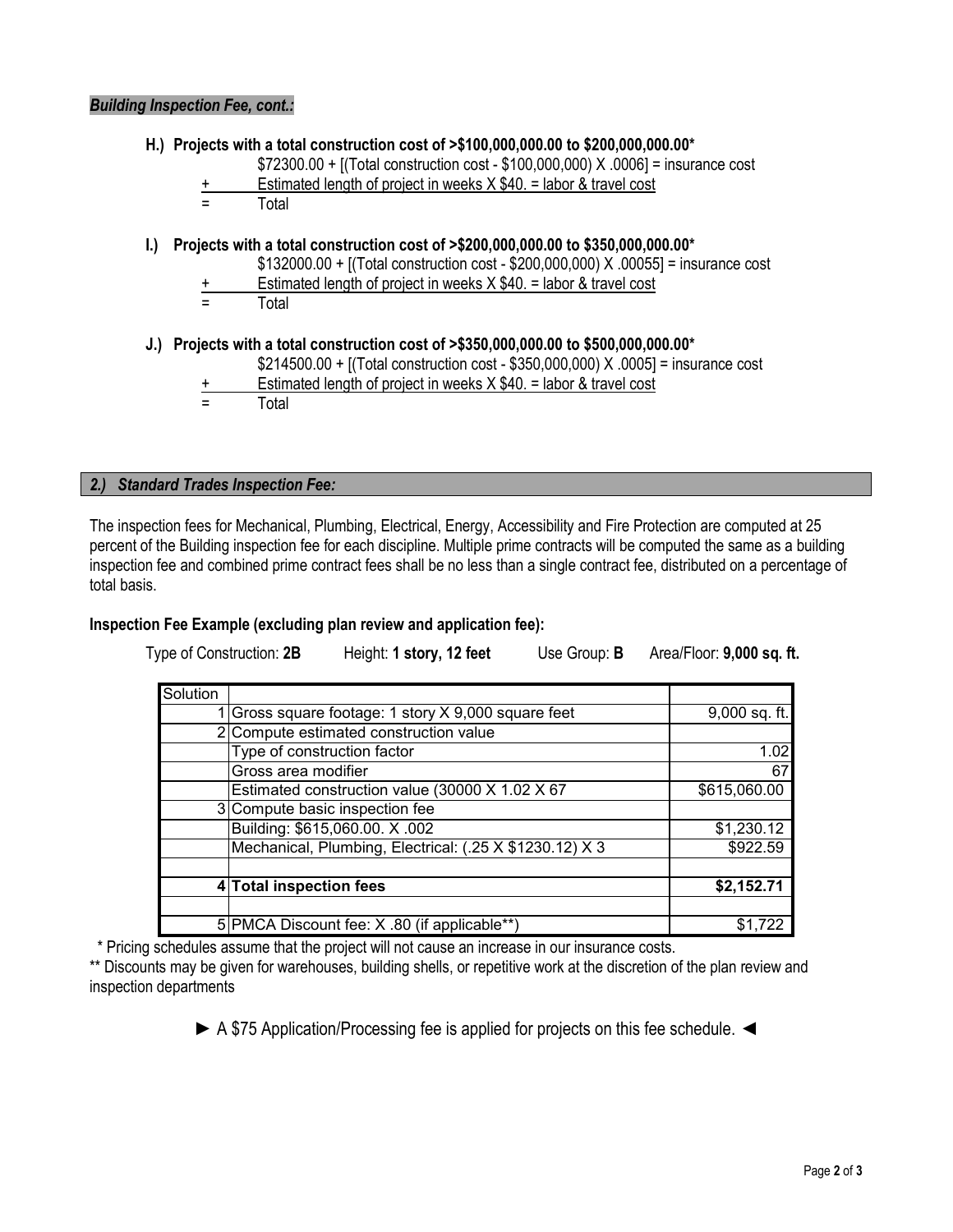**H.) Projects with a total construction cost of >\$100,000,000.00 to \$200,000,000.00\***

- \$72300.00 + [(Total construction cost \$100,000,000) X .0006] = insurance cost
- Estimated length of project in weeks  $X $40. =$  labor & travel cost

= Total

#### **I.) Projects with a total construction cost of >\$200,000,000.00 to \$350,000,000.00\***

\$132000.00 + [(Total construction cost - \$200,000,000) X .00055] = insurance cost

- Estimated length of project in weeks  $X $40. =$  labor & travel cost
- **Total**

#### **J.) Projects with a total construction cost of >\$350,000,000.00 to \$500,000,000.00\***

- \$214500.00 + [(Total construction cost \$350,000,000) X .0005] = insurance cost
- + Estimated length of project in weeks X \$40. = labor & travel cost<br>= Total
	- **Total**

#### *2.) Standard Trades Inspection Fee:*

The inspection fees for Mechanical, Plumbing, Electrical, Energy, Accessibility and Fire Protection are computed at 25 percent of the Building inspection fee for each discipline. Multiple prime contracts will be computed the same as a building inspection fee and combined prime contract fees shall be no less than a single contract fee, distributed on a percentage of total basis.

#### **Inspection Fee Example (excluding plan review and application fee):**

Type of Construction: **2B** Height: **1 story, 12 feet** Use Group: **B** Area/Floor: **9,000 sq. ft.**

| Solution |                                                         |               |
|----------|---------------------------------------------------------|---------------|
|          | 1 Gross square footage: 1 story X 9,000 square feet     | 9,000 sq. ft. |
|          | 2 Compute estimated construction value                  |               |
|          | Type of construction factor                             | 1.02          |
|          | Gross area modifier                                     | 67            |
|          | Estimated construction value (30000 X 1.02 X 67         | \$615,060.00  |
|          | 3 Compute basic inspection fee                          |               |
|          | Building: \$615,060.00. X.002                           | \$1,230.12    |
|          | Mechanical, Plumbing, Electrical: (.25 X \$1230.12) X 3 | \$922.59      |
|          | 4 Total inspection fees                                 | \$2,152.71    |
|          | 5 PMCA Discount fee: X .80 (if applicable**)            |               |

\* Pricing schedules assume that the project will not cause an increase in our insurance costs.

\*\* Discounts may be given for warehouses, building shells, or repetitive work at the discretion of the plan review and inspection departments

► A \$75 Application/Processing fee is applied for projects on this fee schedule. ◄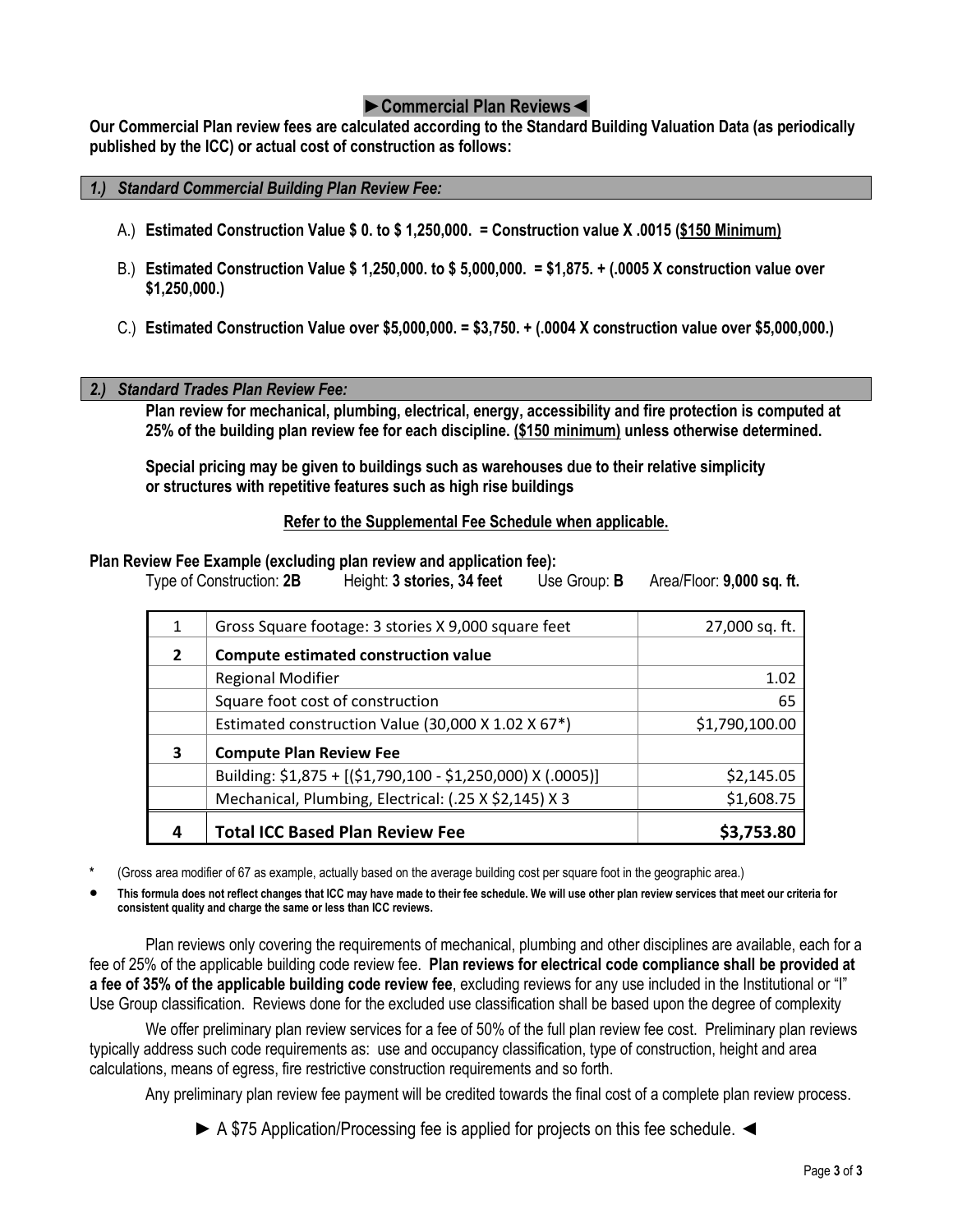# **►Commercial Plan Reviews◄**

**Our Commercial Plan review fees are calculated according to the Standard Building Valuation Data (as periodically published by the ICC) or actual cost of construction as follows:**

#### *1.) Standard Commercial Building Plan Review Fee:*

- A.) **Estimated Construction Value \$ 0. to \$ 1,250,000. = Construction value X .0015 (\$150 Minimum)**
- B.) **Estimated Construction Value \$ 1,250,000. to \$ 5,000,000. = \$1,875. + (.0005 X construction value over \$1,250,000.)**
- C.) **Estimated Construction Value over \$5,000,000. = \$3,750. + (.0004 X construction value over \$5,000,000.)**

#### *2.) Standard Trades Plan Review Fee:*

**Plan review for mechanical, plumbing, electrical, energy, accessibility and fire protection is computed at 25% of the building plan review fee for each discipline. (\$150 minimum) unless otherwise determined.**

**Special pricing may be given to buildings such as warehouses due to their relative simplicity or structures with repetitive features such as high rise buildings**

#### **Refer to the Supplemental Fee Schedule when applicable.**

#### **Plan Review Fee Example (excluding plan review and application fee):**

Type of Construction: **2B** Height: **3 stories, 34 feet** Use Group: **B** Area/Floor: **9,000 sq. ft.**

| 1            | Gross Square footage: 3 stories X 9,000 square feet         | 27,000 sq. ft. |
|--------------|-------------------------------------------------------------|----------------|
| $\mathbf{z}$ | Compute estimated construction value                        |                |
|              | <b>Regional Modifier</b>                                    | 1.02           |
|              | Square foot cost of construction                            | 65             |
|              | Estimated construction Value (30,000 X 1.02 X 67*)          | \$1,790,100.00 |
| 3            | <b>Compute Plan Review Fee</b>                              |                |
|              | Building: \$1,875 + [(\$1,790,100 - \$1,250,000) X (.0005)] | \$2,145.05     |
|              | Mechanical, Plumbing, Electrical: (.25 X \$2,145) X 3       | \$1,608.75     |
|              | <b>Total ICC Based Plan Review Fee</b>                      | \$3,753.80     |

- **\*** (Gross area modifier of 67 as example, actually based on the average building cost per square foot in the geographic area.)
- **This formula does not reflect changes that ICC may have made to their fee schedule. We will use other plan review services that meet our criteria for consistent quality and charge the same or less than ICC reviews.**

Plan reviews only covering the requirements of mechanical, plumbing and other disciplines are available, each for a fee of 25% of the applicable building code review fee. **Plan reviews for electrical code compliance shall be provided at a fee of 35% of the applicable building code review fee**, excluding reviews for any use included in the Institutional or "I" Use Group classification. Reviews done for the excluded use classification shall be based upon the degree of complexity

We offer preliminary plan review services for a fee of 50% of the full plan review fee cost. Preliminary plan reviews typically address such code requirements as: use and occupancy classification, type of construction, height and area calculations, means of egress, fire restrictive construction requirements and so forth.

Any preliminary plan review fee payment will be credited towards the final cost of a complete plan review process.

► A \$75 Application/Processing fee is applied for projects on this fee schedule. ◄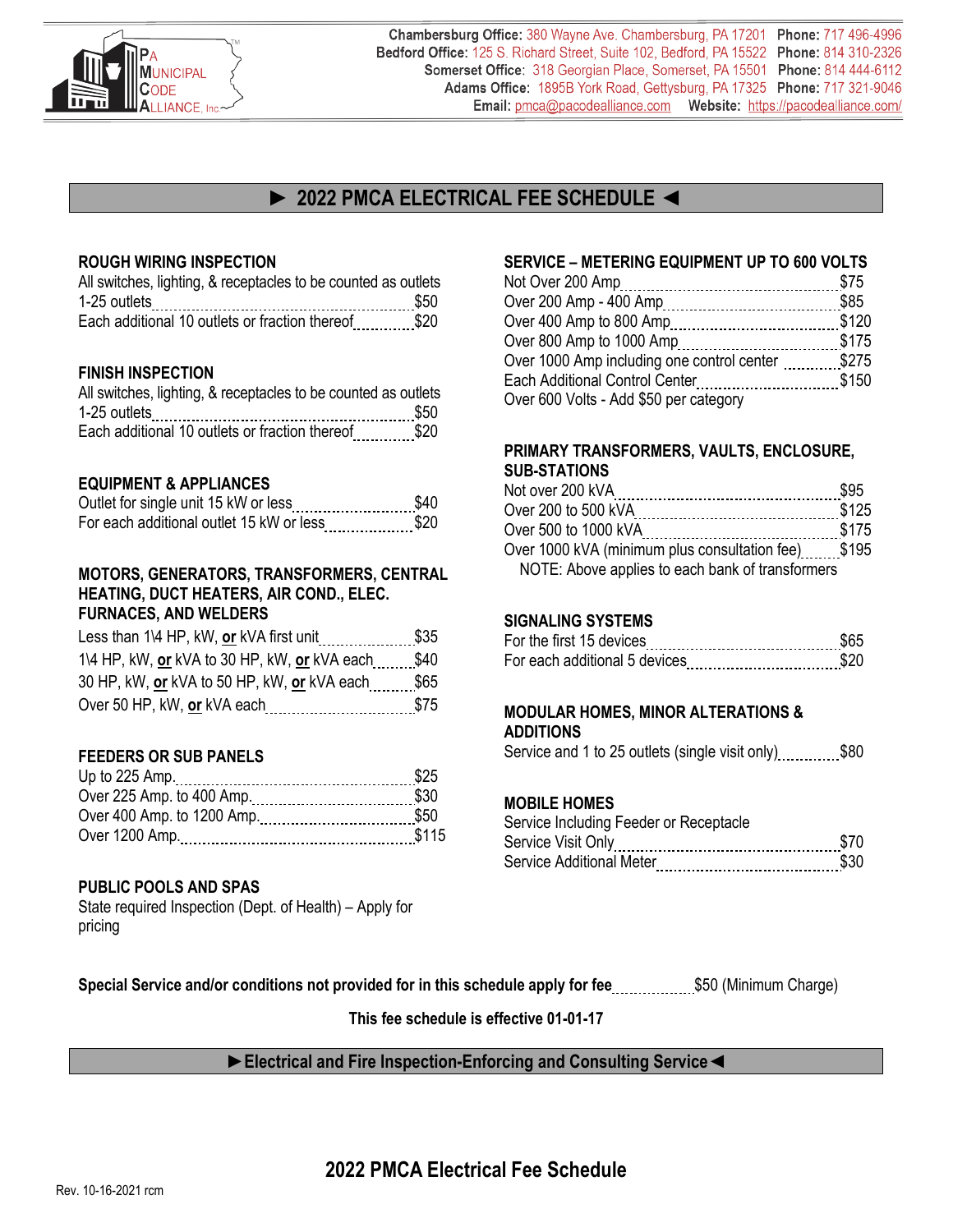

Chambersburg Office: 380 Wayne Ave. Chambersburg, PA 17201 Phone: 717 496-4996 Bedford Office: 125 S. Richard Street, Suite 102, Bedford, PA 15522 Phone: 814 310-2326 Somerset Office: 318 Georgian Place, Somerset, PA 15501 Phone: 814 444-6112 Adams Office: 1895B York Road, Gettysburg, PA 17325 Phone: 717 321-9046 Email: pmca@pacodealliance.com Website: https://pacodealliance.com/

# **► 2022 PMCA ELECTRICAL FEE SCHEDULE ◄**

#### **ROUGH WIRING INSPECTION**

| All switches, lighting, & receptacles to be counted as outlets<br>1-25 outlets |  |
|--------------------------------------------------------------------------------|--|
| Each additional 10 outlets or fraction thereof\$20                             |  |

#### **FINISH INSPECTION**

| All switches, lighting, & receptacles to be counted as outlets |  |
|----------------------------------------------------------------|--|
| 1-25 outlets                                                   |  |
| Each additional 10 outlets or fraction thereof\$20             |  |

#### **EQUIPMENT & APPLIANCES**

| Outlet for single unit 15 kW or less\$40     |  |
|----------------------------------------------|--|
| For each additional outlet 15 kW or less\$20 |  |

#### **MOTORS, GENERATORS, TRANSFORMERS, CENTRAL HEATING, DUCT HEATERS, AIR COND., ELEC. FURNACES, AND WELDERS**

| Less than 1\4 HP, kW, or kVA first unit                  | \$35 |
|----------------------------------------------------------|------|
| 1\4 HP, kW, or kVA to 30 HP, kW, or kVA each ______ \$40 |      |
| 30 HP, kW, or kVA to 50 HP, kW, or kVA each \$65         |      |
|                                                          | \$75 |

#### **FEEDERS OR SUB PANELS**

#### **PUBLIC POOLS AND SPAS**

State required Inspection (Dept. of Health) – Apply for pricing

## **SERVICE – METERING EQUIPMENT UP TO 600 VOLTS**

| Over 1000 Amp including one control center \$275 |  |
|--------------------------------------------------|--|
| Each Additional Control Center\$150              |  |
| Over 600 Volts - Add \$50 per category           |  |

### **PRIMARY TRANSFORMERS, VAULTS, ENCLOSURE, SUB-STATIONS**

| Over 200 to 500 kVA                                 |  |
|-----------------------------------------------------|--|
|                                                     |  |
| Over 1000 kVA (minimum plus consultation fee) \$195 |  |
| NOTE: Above applies to each bank of transformers    |  |

#### **SIGNALING SYSTEMS**

| For the first 15 devices      |  |
|-------------------------------|--|
| For each additional 5 devices |  |

# **MODULAR HOMES, MINOR ALTERATIONS &**

**ADDITIONS**

Service and 1 to 25 outlets (single visit only) ............\$80

#### **MOBILE HOMES**

| Service Including Feeder or Receptacle |  |
|----------------------------------------|--|
|                                        |  |
|                                        |  |

**Special Service and/or conditions not provided for in this schedule apply for fee..................\$50 (Minimum Charge)** 

**This fee schedule is effective 01-01-17**

## **►Electrical and Fire Inspection-Enforcing and Consulting Service◄**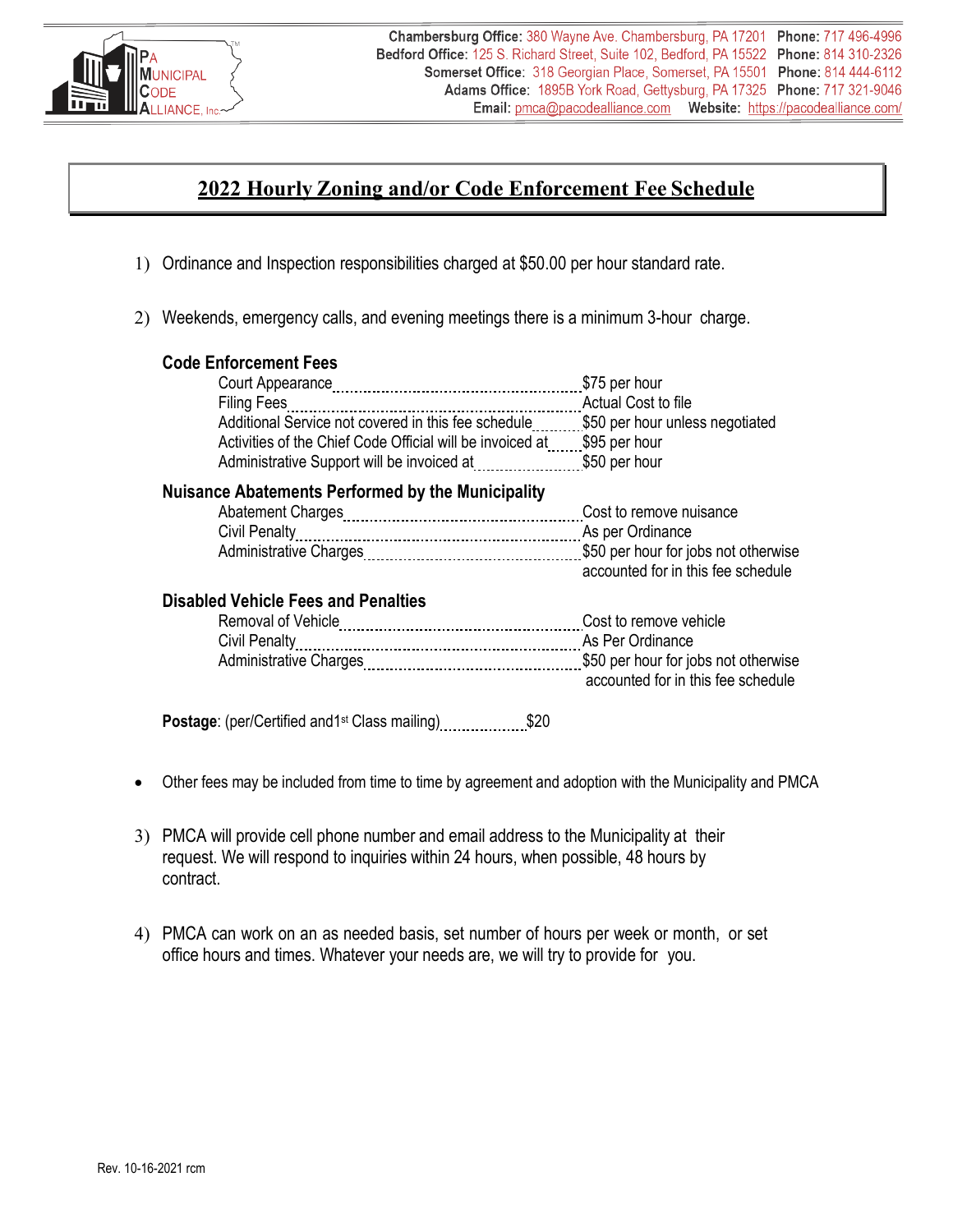

# **2022 Hourly Zoning and/or Code Enforcement Fee Schedule**

- 1) Ordinance and Inspection responsibilities charged at \$50.00 per hour standard rate.
- 2) Weekends, emergency calls, and evening meetings there is a minimum 3-hour charge.

## **Code Enforcement Fees**

|                                                                                     | Actual Cost to file |
|-------------------------------------------------------------------------------------|---------------------|
| Additional Service not covered in this fee schedule \$50 per hour unless negotiated |                     |
| Activities of the Chief Code Official will be invoiced at \$95 per hour             |                     |
|                                                                                     |                     |
|                                                                                     |                     |

## **Nuisance Abatements Performed by the Municipality**

| accounted for in this fee schedule |
|------------------------------------|

## **Disabled Vehicle Fees and Penalties**

| Removal of Vehicle            | Cost to remove vehicle             |
|-------------------------------|------------------------------------|
|                               | As Per Ordinance                   |
| <b>Administrative Charges</b> |                                    |
|                               | accounted for in this fee schedule |

**Postage:** (per/Certified and 1<sup>st</sup> Class mailing) \$20

- Other fees may be included from time to time by agreement and adoption with the Municipality and PMCA
- 3) PMCA will provide cell phone number and email address to the Municipality at their request. We will respond to inquiries within 24 hours, when possible, 48 hours by contract.
- 4) PMCA can work on an as needed basis, set number of hours per week or month, or set office hours and times. Whatever your needs are, we will try to provide for you.